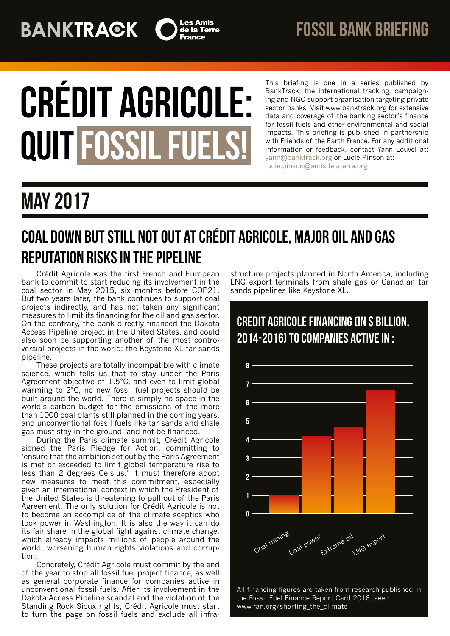

# **CRÉDIT AGRICOLE: QUIT FOSSIL FUELS!**

This briefing is one in a series published by BankTrack, the international tracking, campaigning and NGO support organisation targeting private sector banks. Visit www.banktrack.org for extensive data and coverage of the banking sector's finance for fossil fuels and other environmental and social impacts. This briefing is published in partnership with Friends of the Earth France. For any additional information or feedback, contact Yann Louvel at: [yann@banktrack.org](mailto:yann@banktrack.org) or Lucie Pinson at: [lucie.pinson@amisdelaterre.org](mailto:lucie.pinson@amisdelaterre.org)

# may 2017

## Coal down but still not out at Crédit Agricole, major oil and gas reputation risks in the pipeline

Crédit Agricole was the first French and European bank to commit to start reducing its involvement in the coal sector in May 2015, six months before COP21. But two years later, the bank continues to support coal projects indirectly, and has not taken any significant measures to limit its financing for the oil and gas sector. On the contrary, the bank directly financed the Dakota Access Pipeline project in the United States, and could also soon be supporting another of the most controversial projects in the world: the Keystone XL tar sands pipeline.

These projects are totally incompatible with climate science, which tells us that to stay under the Paris Agreement objective of 1.5°C, and even to limit global warming to 2°C, no new fossil fuel projects should be built around the world. There is simply no space in the world's carbon budget for the emissions of the more than 1000 coal plants still planned in the coming years, and unconventional fossil fuels like tar sands and shale gas must stay in the ground, and not be financed.

During the Paris climate summit, Crédit Agricole signed the Paris Pledge for Action, committing to 'ensure that the ambition set out by the Paris Agreement is met or exceeded to limit global temperature rise to less than 2 degrees Celsius.' It must therefore adopt new measures to meet this commitment, especially given an international context in which the President of the United States is threatening to pull out of the Paris Agreement. The only solution for Crédit Agricole is not to become an accomplice of the climate sceptics who took power in Washington. It is also the way it can do its fair share in the global fight against climate change, which already impacts millions of people around the world, worsening human rights violations and corruption.

Concretely, Crédit Agricole must commit by the end of the year to stop all fossil fuel project finance, as well as general corporate finance for companies active in unconventional fossil fuels. After its involvement in the Dakota Access Pipeline scandal and the violation of the Standing Rock Sioux rights, Crédit Agricole must start to turn the page on fossil fuels and exclude all infrastructure projects planned in North America, including LNG export terminals from shale gas or Canadian tar sands pipelines like Keystone XL.



All financing figures are taken from research published in the Fossil Fuel Finance Report Card 2016, see:: www.ran.org/shorting\_the\_climate

## CREDIT AGRICOLE FINANCING (IN \$ BILLION, 2014-2016) TO COMPANIES ACTIVEIN :